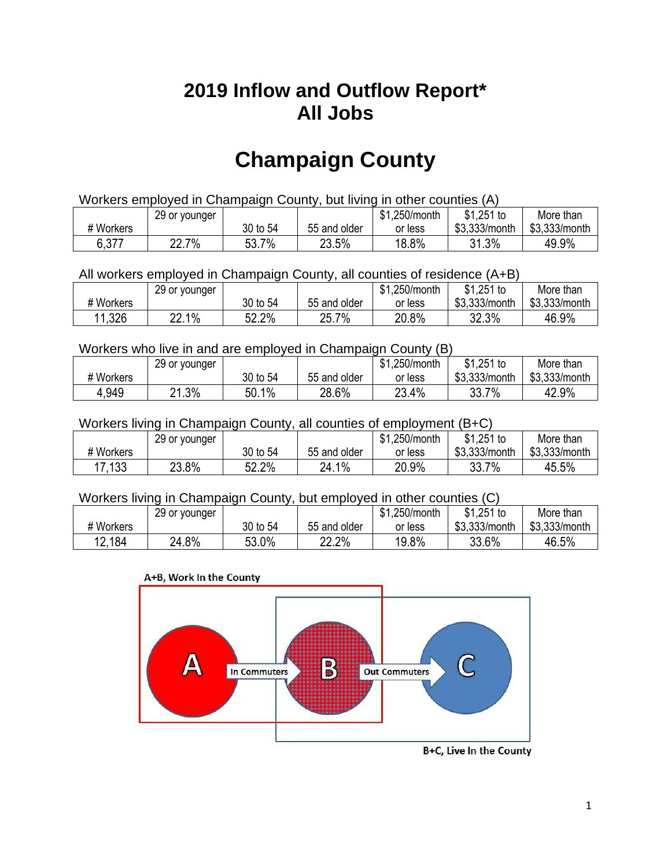## **2019 Inflow and Outflow Report\* All Jobs**

# **Champaign County**

| Workers employed in Champaign County, but living in other counties (A) |       |          |              |         |               |               |  |  |  |
|------------------------------------------------------------------------|-------|----------|--------------|---------|---------------|---------------|--|--|--|
| $$1,251$ to<br>\$1,250/month<br>More than<br>29 or younger             |       |          |              |         |               |               |  |  |  |
| # Workers                                                              |       | 30 to 54 | 55 and older | or less | \$3.333/month | \$3,333/month |  |  |  |
| 6,377                                                                  | 22.7% | 53.7%    | 23.5%        | 18.8%   | 31.3%         | 49.9%         |  |  |  |

#### All workers employed in Champaign County, all counties of residence (A+B)

|           | 29 or younger |          |              | \$1,250/month | $$1,251$ to   | More than     |
|-----------|---------------|----------|--------------|---------------|---------------|---------------|
| # Workers |               | 30 to 54 | 55 and older | or less       | \$3,333/month | \$3,333/month |
| 11,326    | 22.1%         | 52.2%    | 25.7%        | 20.8%         | 32.3%         | 46.9%         |

#### Workers who live in and are employed in Champaign County (B)

|           | 29 or younger        |          |              | \$1,250/month | $$1,251$ to   | More than     |
|-----------|----------------------|----------|--------------|---------------|---------------|---------------|
| # Workers |                      | 30 to 54 | 55 and older | or less       | \$3,333/month | \$3,333/month |
| 4,949     | $.3\%$<br>$^{\circ}$ | 50.1%    | 28.6%        | 23.4%         | 33.7%         | 42.9%         |

### Workers living in Champaign County, all counties of employment (B+C)

|           | 29 or younger |          |              | \$1,250/month | $$1,251$ to   | More than     |
|-----------|---------------|----------|--------------|---------------|---------------|---------------|
| # Workers |               | 30 to 54 | 55 and older | or less       | \$3,333/month | \$3,333/month |
| 17,133    | 23.8%         | 52.2%    | 24.1%        | 20.9%         | 33.7%         | 45.5%         |

#### Workers living in Champaign County, but employed in other counties (C)

|           | 29 or younger |          |              | \$1,250/month | \$1,251 to    | More than     |
|-----------|---------------|----------|--------------|---------------|---------------|---------------|
| # Workers |               | 30 to 54 | 55 and older | or less       | \$3,333/month | \$3,333/month |
| 12,184    | 24.8%         | 53.0%    | 22.2%        | 19.8%         | 33.6%         | 46.5%         |





B+C, Live In the County